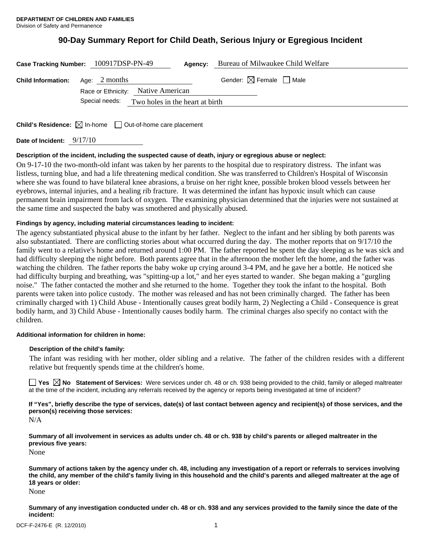# **90-Day Summary Report for Child Death, Serious Injury or Egregious Incident**

| Case Tracking Number: 100917DSP-PN-49   |                                    |                                                | Agency: | Bureau of Milwaukee Child Welfare      |
|-----------------------------------------|------------------------------------|------------------------------------------------|---------|----------------------------------------|
| <b>Child Information:</b> Age: 2 months | Race or Ethnicity: Native American |                                                |         | Gender: $\boxtimes$ Female $\Box$ Male |
|                                         |                                    | Special needs: Two holes in the heart at birth |         |                                        |
|                                         | $\sqrt{2}$                         |                                                |         |                                        |

**Child's Residence:**  $\boxtimes$  In-home  $\Box$  Out-of-home care placement

**Date of Incident:** 9/17/10

# **Description of the incident, including the suspected cause of death, injury or egregious abuse or neglect:**

On 9-17-10 the two-month-old infant was taken by her parents to the hospital due to respiratory distress. The infant was listless, turning blue, and had a life threatening medical condition. She was transferred to Children's Hospital of Wisconsin where she was found to have bilateral knee abrasions, a bruise on her right knee, possible broken blood vessels between her eyebrows, internal injuries, and a healing rib fracture. It was determined the infant has hypoxic insult which can cause permanent brain impairment from lack of oxygen. The examining physician determined that the injuries were not sustained at the same time and suspected the baby was smothered and physically abused.

# **Findings by agency, including material circumstances leading to incident:**

The agency substantiated physical abuse to the infant by her father. Neglect to the infant and her sibling by both parents was also substantiated. There are conflicting stories about what occurred during the day. The mother reports that on 9/17/10 the family went to a relative's home and returned around 1:00 PM. The father reported he spent the day sleeping as he was sick and had difficulty sleeping the night before. Both parents agree that in the afternoon the mother left the home, and the father was watching the children. The father reports the baby woke up crying around 3-4 PM, and he gave her a bottle. He noticed she had difficulty burping and breathing, was "spitting-up a lot," and her eyes started to wander. She began making a "gurgling noise." The father contacted the mother and she returned to the home. Together they took the infant to the hospital. Both parents were taken into police custody. The mother was released and has not been criminally charged. The father has been criminally charged with 1) Child Abuse - Intentionally causes great bodily harm, 2) Neglecting a Child - Consequence is great bodily harm, and 3) Child Abuse - Intentionally causes bodily harm. The criminal charges also specify no contact with the children.

# **Additional information for children in home:**

# **Description of the child's family:**

 The infant was residing with her mother, older sibling and a relative. The father of the children resides with a different relative but frequently spends time at the children's home.

■ Yes **No** Statement of Services: Were services under ch. 48 or ch. 938 being provided to the child, family or alleged maltreater at the time of the incident, including any referrals received by the agency or reports being investigated at time of incident?

**If "Yes", briefly describe the type of services, date(s) of last contact between agency and recipient(s) of those services, and the person(s) receiving those services:** 

N/A

**Summary of all involvement in services as adults under ch. 48 or ch. 938 by child's parents or alleged maltreater in the previous five years:** 

None

**Summary of actions taken by the agency under ch. 48, including any investigation of a report or referrals to services involving the child, any member of the child's family living in this household and the child's parents and alleged maltreater at the age of 18 years or older:** 

None

**Summary of any investigation conducted under ch. 48 or ch. 938 and any services provided to the family since the date of the incident:**